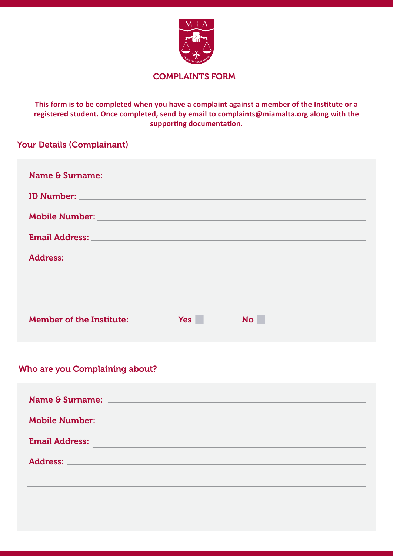

### COMPLAINTS FORM

This form is to be completed when you have a complaint against a member of the Institute or a **registered student. Once completed, send by email to complaints@miamalta.org along with the**  supporting documentation.

# Your Details (Complainant)

| <b>ID Number:</b> The Second Second Second Second Second Second Second Second Second Second Second Second Second Second Second Second Second Second Second Second Second Second Second Second Second Second Second Second Second Se |            |                |
|-------------------------------------------------------------------------------------------------------------------------------------------------------------------------------------------------------------------------------------|------------|----------------|
| Mobile Number: William School and Communication of the Communication of the Communication of the Communication                                                                                                                      |            |                |
| Email Address: North and South Address: North Address: North Address: North Address: North Address: North Address: North Address: North Address: North Address: North Address: North Address: North Address: North Address: No      |            |                |
| <b>Address:</b><br><u> 1980 - An Dùbhlachd an Dùbhlachd an Dùbhlachd an Dùbhlachd an Dùbhlachd an Dùbhlachd an Dùbhlachd an Dùbhlach</u>                                                                                            |            |                |
|                                                                                                                                                                                                                                     |            |                |
|                                                                                                                                                                                                                                     |            |                |
| <b>Member of the Institute:</b>                                                                                                                                                                                                     | <b>Yes</b> | N <sub>O</sub> |

## Who are you Complaining about?

| Name & Surname: Name & Surname:                                                                                                        |  |
|----------------------------------------------------------------------------------------------------------------------------------------|--|
| Mobile Number: National Account of the Mobile Number of the Mobile Account of the Mobile Account of the Mobile                         |  |
| <b>Email Address:</b><br>a sa mga bagay na mga bayang sa mga bagay ng mga bagay ng mga bagay ng mga bagay ng mga bagong sa pag-agay ng |  |
| Address: North Commission and Commission and Commission and Commission and Commission and Commission and Commission                    |  |
|                                                                                                                                        |  |
|                                                                                                                                        |  |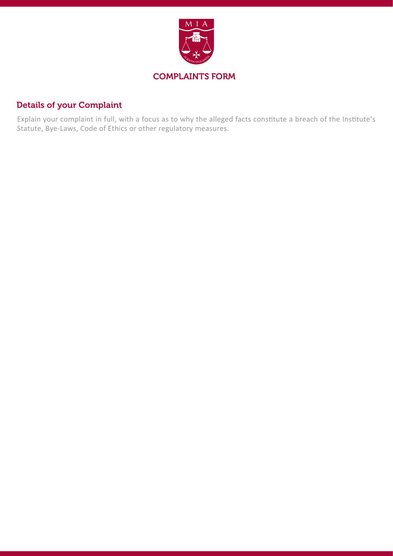

## Details of your Complaint

Explain your complaint in full, with a focus as to why the alleged facts constitute a breach of the Institute's Statute, Bye-Laws, Code of Ethics or other regulatory measures.